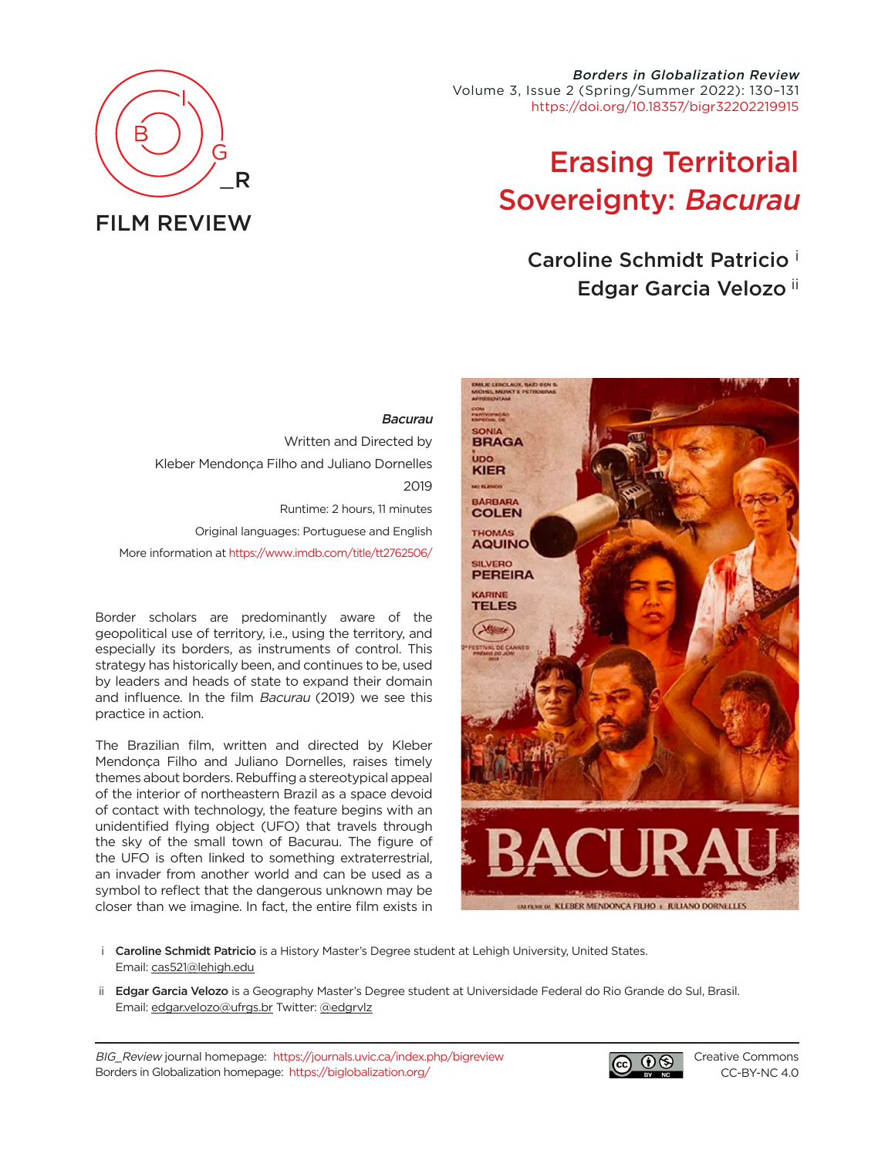

Borders in Globalization Review Volume 3, Issue 2 (Spring/Summer 2022): 130–131 [https://doi.org/10.18357/bigr32202219915](https://doi.org/10.18357/bigr32202219915 )

## Erasing Territorial Sovereignty: Bacurau

Caroline Schmidt Patricio <sup>i</sup> Edgar Garcia Velozo ii

## **Bacurau**

Written and Directed by Kleber Mendonça Filho and Juliano Dornelles 2019 Runtime: 2 hours, 11 minutes Original languages: Portuguese and English More information at [https://www.imdb.com/title/tt2762506/](https://www.imdb.com/title/tt2762506/ )

Border scholars are predominantly aware of the geopolitical use of territory, i.e., using the territory, and especially its borders, as instruments of control. This strategy has historically been, and continues to be, used by leaders and heads of state to expand their domain and influence. In the film Bacurau (2019) we see this practice in action.

The Brazilian film, written and directed by Kleber Mendonça Filho and Juliano Dornelles, raises timely themes about borders. Rebuffing a stereotypical appeal of the interior of northeastern Brazil as a space devoid of contact with technology, the feature begins with an unidentified flying object (UFO) that travels through the sky of the small town of Bacurau. The figure of the UFO is often linked to something extraterrestrial, an invader from another world and can be used as a symbol to reflect that the dangerous unknown may be closer than we imagine. In fact, the entire film exists in



- i Caroline Schmidt Patricio is a History Master's Degree student at Lehigh University, United States. Email: [cas521@lehigh.edu](mailto:cas521%40lehigh.edu?subject=)
- ii Edgar Garcia Velozo is a Geography Master's Degree student at Universidade Federal do Rio Grande do Sul, Brasil. Email: [edgar.velozo@ufrgs.br](mailto:edgar.velozo%40ufrgs.br?subject=) Twitter: [@edgrvlz](https://twitter.com/edgrvlz)

BIG\_Review journal homepage: <https://journals.uvic.ca/index.php/bigreview> Borders in Globalization homepage: <https://biglobalization.org/>



[Creative Commons](https://creativecommons.org/licenses/by-nc/4.0/) [CC-BY-NC 4.0](https://creativecommons.org/licenses/by-nc/4.0/)